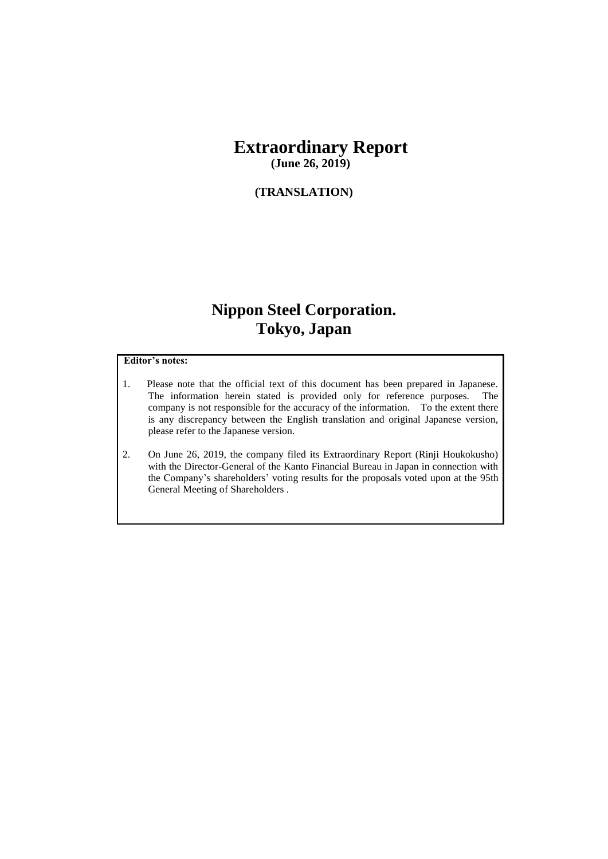# **Extraordinary Report**

**(June 26, 2019)**

#### **(TRANSLATION)**

## **Nippon Steel Corporation. Tokyo, Japan**

#### **Editor's notes:**

- 1. Please note that the official text of this document has been prepared in Japanese. The information herein stated is provided only for reference purposes. The company is not responsible for the accuracy of the information. To the extent there is any discrepancy between the English translation and original Japanese version, please refer to the Japanese version.
- 2. On June 26, 2019, the company filed its Extraordinary Report (Rinji Houkokusho) with the Director-General of the Kanto Financial Bureau in Japan in connection with the Company's shareholders' voting results for the proposals voted upon at the 95th General Meeting of Shareholders .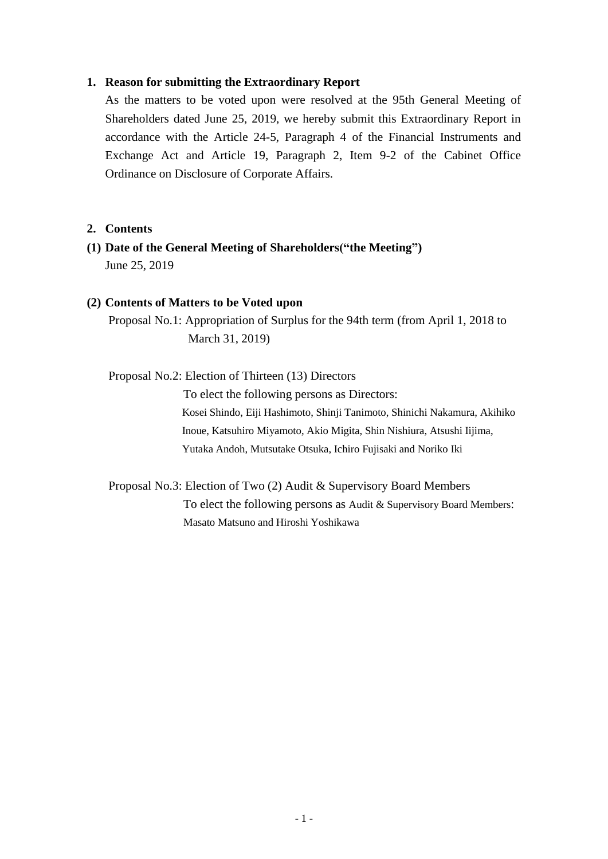### **1. Reason for submitting the Extraordinary Report**

As the matters to be voted upon were resolved at the 95th General Meeting of Shareholders dated June 25, 2019, we hereby submit this Extraordinary Report in accordance with the Article 24-5, Paragraph 4 of the Financial Instruments and Exchange Act and Article 19, Paragraph 2, Item 9-2 of the Cabinet Office Ordinance on Disclosure of Corporate Affairs.

#### **2. Contents**

**(1) Date of the General Meeting of Shareholders("the Meeting")**  June 25, 2019

#### **(2) Contents of Matters to be Voted upon**

Proposal No.1: Appropriation of Surplus for the 94th term (from April 1, 2018 to March 31, 2019)

Proposal No.2: Election of Thirteen (13) Directors

To elect the following persons as Directors: Kosei Shindo, Eiji Hashimoto, Shinji Tanimoto, Shinichi Nakamura, Akihiko Inoue, Katsuhiro Miyamoto, Akio Migita, Shin Nishiura, Atsushi Iijima, Yutaka Andoh, Mutsutake Otsuka, Ichiro Fujisaki and Noriko Iki

Proposal No.3: Election of Two (2) Audit & Supervisory Board Members To elect the following persons as Audit & Supervisory Board Members: Masato Matsuno and Hiroshi Yoshikawa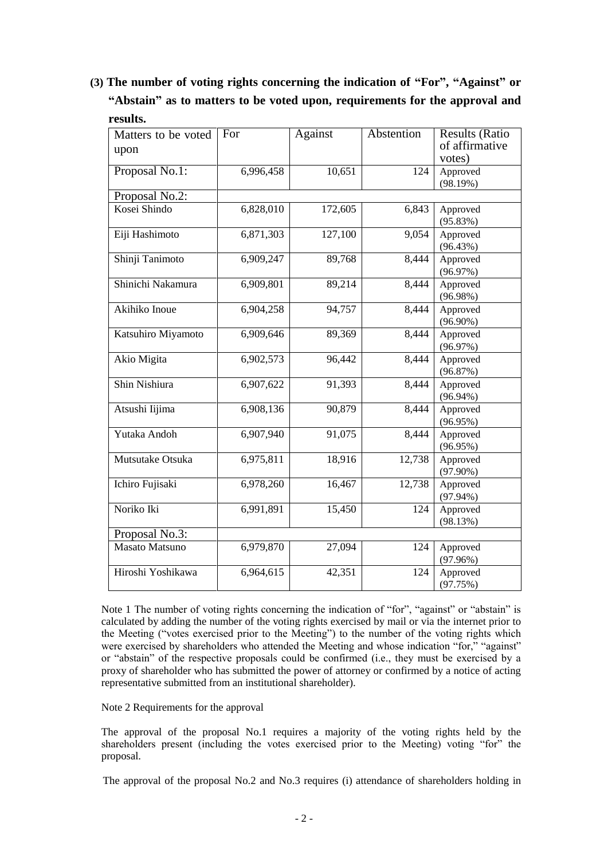**(3) The number of voting rights concerning the indication of "For", "Against" or "Abstain" as to matters to be voted upon, requirements for the approval and results.**

| Matters to be voted | For       | Against | Abstention | <b>Results (Ratio</b> |
|---------------------|-----------|---------|------------|-----------------------|
| upon                |           |         |            | of affirmative        |
|                     |           |         |            | votes)                |
| Proposal No.1:      | 6,996,458 | 10,651  | 124        | Approved              |
|                     |           |         |            | (98.19%)              |
| Proposal No.2:      |           |         |            |                       |
| Kosei Shindo        | 6,828,010 | 172,605 | 6,843      | Approved              |
|                     |           |         |            | (95.83%)              |
| Eiji Hashimoto      | 6,871,303 | 127,100 | 9,054      | Approved              |
|                     |           |         |            | (96.43%)              |
| Shinji Tanimoto     | 6,909,247 | 89,768  | 8,444      | Approved              |
|                     |           |         |            | (96.97%)              |
| Shinichi Nakamura   | 6,909,801 | 89,214  | 8,444      | Approved              |
|                     |           |         |            | (96.98%)              |
| Akihiko Inoue       | 6,904,258 | 94,757  | 8,444      | Approved              |
|                     |           |         |            | $(96.90\%)$           |
| Katsuhiro Miyamoto  | 6,909,646 | 89,369  | 8,444      | Approved              |
|                     |           |         |            | (96.97%)              |
| Akio Migita         | 6,902,573 | 96,442  | 8,444      | Approved              |
|                     |           |         |            | (96.87%)              |
| Shin Nishiura       | 6,907,622 | 91,393  | 8,444      | Approved              |
|                     |           |         |            | $(96.94\%)$           |
| Atsushi Iijima      | 6,908,136 | 90,879  | 8,444      | Approved              |
|                     |           |         |            | $(96.95\%)$           |
| Yutaka Andoh        | 6,907,940 | 91,075  | 8,444      | Approved              |
|                     |           |         |            | (96.95%)              |
| Mutsutake Otsuka    | 6,975,811 | 18,916  | 12,738     | Approved              |
|                     |           |         |            | $(97.90\%)$           |
| Ichiro Fujisaki     | 6,978,260 | 16,467  | 12,738     | Approved              |
|                     |           |         |            | $(97.94\%)$           |
| Noriko Iki          | 6,991,891 | 15,450  | 124        | Approved              |
|                     |           |         |            | (98.13%)              |
| Proposal No.3:      |           |         |            |                       |
| Masato Matsuno      | 6,979,870 | 27,094  | 124        | Approved              |
|                     |           |         |            | (97.96%)              |
| Hiroshi Yoshikawa   | 6,964,615 | 42,351  | 124        | Approved              |
|                     |           |         |            | (97.75%)              |

Note 1 The number of voting rights concerning the indication of "for", "against" or "abstain" is calculated by adding the number of the voting rights exercised by mail or via the internet prior to the Meeting ("votes exercised prior to the Meeting") to the number of the voting rights which were exercised by shareholders who attended the Meeting and whose indication "for," "against" or "abstain" of the respective proposals could be confirmed (i.e., they must be exercised by a proxy of shareholder who has submitted the power of attorney or confirmed by a notice of acting representative submitted from an institutional shareholder).

Note 2 Requirements for the approval

The approval of the proposal No.1 requires a majority of the voting rights held by the shareholders present (including the votes exercised prior to the Meeting) voting "for" the proposal.

The approval of the proposal No.2 and No.3 requires (i) attendance of shareholders holding in